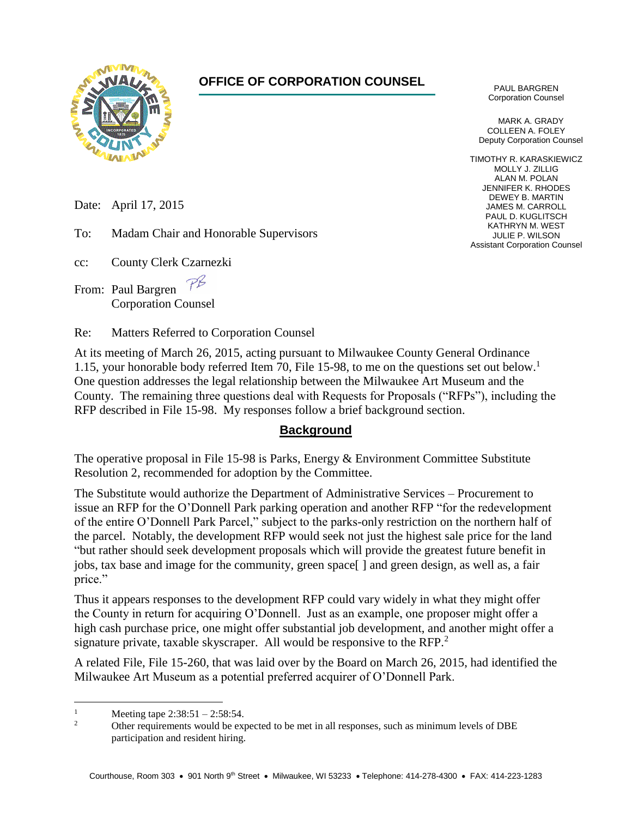

# **OFFICE OF CORPORATION COUNSEL**

PAUL BARGREN Corporation Counsel

MARK A. GRADY COLLEEN A. FOLEY Deputy Corporation Counsel

TIMOTHY R. KARASKIEWICZ MOLLY J. ZILLIG ALAN M. POLAN JENNIFER K. RHODES DEWEY B. MARTIN JAMES M. CARROLL PAUL D. KUGLITSCH KATHRYN M. WEST JULIE P. WILSON Assistant Corporation Counsel

Date: April 17, 2015

To: Madam Chair and Honorable Supervisors

cc: County Clerk Czarnezki

From: Paul Bargren Corporation Counsel

Re: Matters Referred to Corporation Counsel

At its meeting of March 26, 2015, acting pursuant to Milwaukee County General Ordinance 1.15, your honorable body referred Item 70, File 15-98, to me on the questions set out below.<sup>1</sup> One question addresses the legal relationship between the Milwaukee Art Museum and the County. The remaining three questions deal with Requests for Proposals ("RFPs"), including the RFP described in File 15-98. My responses follow a brief background section.

### **Background**

The operative proposal in File 15-98 is Parks, Energy & Environment Committee Substitute Resolution 2, recommended for adoption by the Committee.

The Substitute would authorize the Department of Administrative Services – Procurement to issue an RFP for the O'Donnell Park parking operation and another RFP "for the redevelopment of the entire O'Donnell Park Parcel," subject to the parks-only restriction on the northern half of the parcel. Notably, the development RFP would seek not just the highest sale price for the land "but rather should seek development proposals which will provide the greatest future benefit in jobs, tax base and image for the community, green space[ ] and green design, as well as, a fair price."

Thus it appears responses to the development RFP could vary widely in what they might offer the County in return for acquiring O'Donnell. Just as an example, one proposer might offer a high cash purchase price, one might offer substantial job development, and another might offer a signature private, taxable skyscraper. All would be responsive to the RFP.<sup>2</sup>

A related File, File 15-260, that was laid over by the Board on March 26, 2015, had identified the Milwaukee Art Museum as a potential preferred acquirer of O'Donnell Park.

 $\overline{a}$ 

<sup>&</sup>lt;sup>1</sup> Meeting tape  $2:38:51 - 2:58:54$ .

<sup>2</sup> Other requirements would be expected to be met in all responses, such as minimum levels of DBE participation and resident hiring.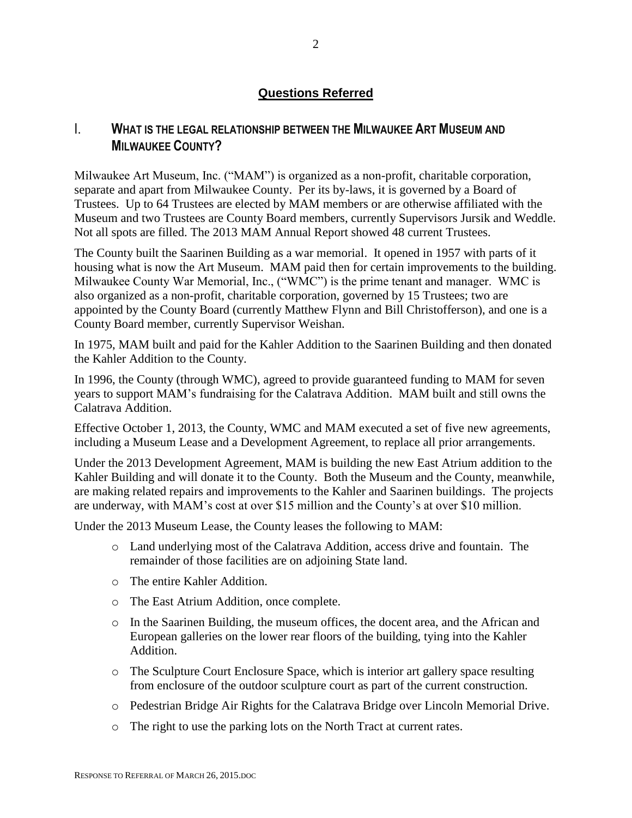### **Questions Referred**

# I. **WHAT IS THE LEGAL RELATIONSHIP BETWEEN THE MILWAUKEE ART MUSEUM AND MILWAUKEE COUNTY?**

Milwaukee Art Museum, Inc. ("MAM") is organized as a non-profit, charitable corporation, separate and apart from Milwaukee County. Per its by-laws, it is governed by a Board of Trustees. Up to 64 Trustees are elected by MAM members or are otherwise affiliated with the Museum and two Trustees are County Board members, currently Supervisors Jursik and Weddle. Not all spots are filled. The 2013 MAM Annual Report showed 48 current Trustees.

The County built the Saarinen Building as a war memorial. It opened in 1957 with parts of it housing what is now the Art Museum. MAM paid then for certain improvements to the building. Milwaukee County War Memorial, Inc., ("WMC") is the prime tenant and manager. WMC is also organized as a non-profit, charitable corporation, governed by 15 Trustees; two are appointed by the County Board (currently Matthew Flynn and Bill Christofferson), and one is a County Board member, currently Supervisor Weishan.

In 1975, MAM built and paid for the Kahler Addition to the Saarinen Building and then donated the Kahler Addition to the County.

In 1996, the County (through WMC), agreed to provide guaranteed funding to MAM for seven years to support MAM's fundraising for the Calatrava Addition. MAM built and still owns the Calatrava Addition.

Effective October 1, 2013, the County, WMC and MAM executed a set of five new agreements, including a Museum Lease and a Development Agreement, to replace all prior arrangements.

Under the 2013 Development Agreement, MAM is building the new East Atrium addition to the Kahler Building and will donate it to the County. Both the Museum and the County, meanwhile, are making related repairs and improvements to the Kahler and Saarinen buildings. The projects are underway, with MAM's cost at over \$15 million and the County's at over \$10 million.

Under the 2013 Museum Lease, the County leases the following to MAM:

- o Land underlying most of the Calatrava Addition, access drive and fountain. The remainder of those facilities are on adjoining State land.
- o The entire Kahler Addition.
- o The East Atrium Addition, once complete.
- o In the Saarinen Building, the museum offices, the docent area, and the African and European galleries on the lower rear floors of the building, tying into the Kahler Addition.
- o The Sculpture Court Enclosure Space, which is interior art gallery space resulting from enclosure of the outdoor sculpture court as part of the current construction.
- o Pedestrian Bridge Air Rights for the Calatrava Bridge over Lincoln Memorial Drive.
- o The right to use the parking lots on the North Tract at current rates.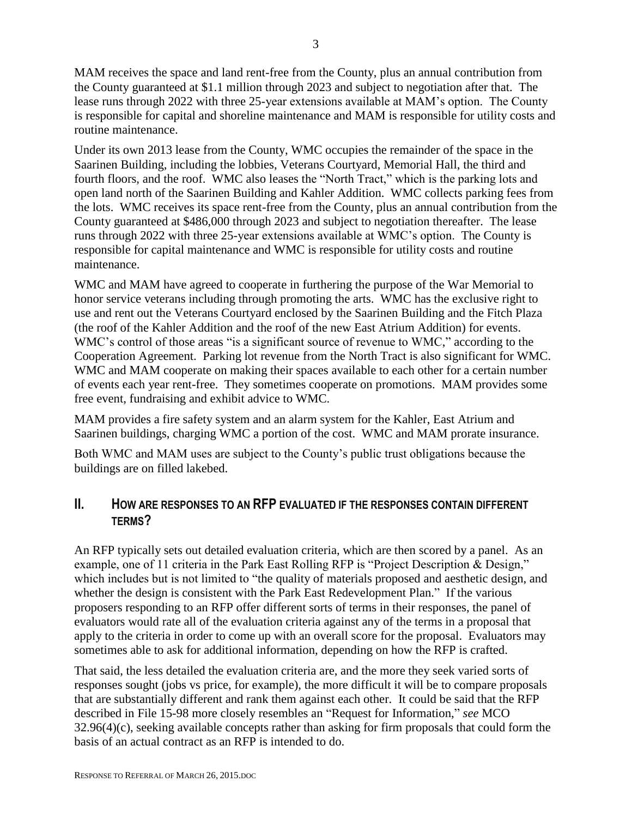MAM receives the space and land rent-free from the County, plus an annual contribution from the County guaranteed at \$1.1 million through 2023 and subject to negotiation after that. The lease runs through 2022 with three 25-year extensions available at MAM's option. The County is responsible for capital and shoreline maintenance and MAM is responsible for utility costs and routine maintenance.

Under its own 2013 lease from the County, WMC occupies the remainder of the space in the Saarinen Building, including the lobbies, Veterans Courtyard, Memorial Hall, the third and fourth floors, and the roof. WMC also leases the "North Tract," which is the parking lots and open land north of the Saarinen Building and Kahler Addition. WMC collects parking fees from the lots. WMC receives its space rent-free from the County, plus an annual contribution from the County guaranteed at \$486,000 through 2023 and subject to negotiation thereafter. The lease runs through 2022 with three 25-year extensions available at WMC's option. The County is responsible for capital maintenance and WMC is responsible for utility costs and routine maintenance.

WMC and MAM have agreed to cooperate in furthering the purpose of the War Memorial to honor service veterans including through promoting the arts. WMC has the exclusive right to use and rent out the Veterans Courtyard enclosed by the Saarinen Building and the Fitch Plaza (the roof of the Kahler Addition and the roof of the new East Atrium Addition) for events. WMC's control of those areas "is a significant source of revenue to WMC," according to the Cooperation Agreement. Parking lot revenue from the North Tract is also significant for WMC. WMC and MAM cooperate on making their spaces available to each other for a certain number of events each year rent-free. They sometimes cooperate on promotions. MAM provides some free event, fundraising and exhibit advice to WMC.

MAM provides a fire safety system and an alarm system for the Kahler, East Atrium and Saarinen buildings, charging WMC a portion of the cost. WMC and MAM prorate insurance.

Both WMC and MAM uses are subject to the County's public trust obligations because the buildings are on filled lakebed.

# **II. HOW ARE RESPONSES TO AN RFP EVALUATED IF THE RESPONSES CONTAIN DIFFERENT TERMS?**

An RFP typically sets out detailed evaluation criteria, which are then scored by a panel. As an example, one of 11 criteria in the Park East Rolling RFP is "Project Description & Design," which includes but is not limited to "the quality of materials proposed and aesthetic design, and whether the design is consistent with the Park East Redevelopment Plan." If the various proposers responding to an RFP offer different sorts of terms in their responses, the panel of evaluators would rate all of the evaluation criteria against any of the terms in a proposal that apply to the criteria in order to come up with an overall score for the proposal. Evaluators may sometimes able to ask for additional information, depending on how the RFP is crafted.

That said, the less detailed the evaluation criteria are, and the more they seek varied sorts of responses sought (jobs vs price, for example), the more difficult it will be to compare proposals that are substantially different and rank them against each other. It could be said that the RFP described in File 15-98 more closely resembles an "Request for Information," *see* MCO 32.96(4)(c), seeking available concepts rather than asking for firm proposals that could form the basis of an actual contract as an RFP is intended to do.